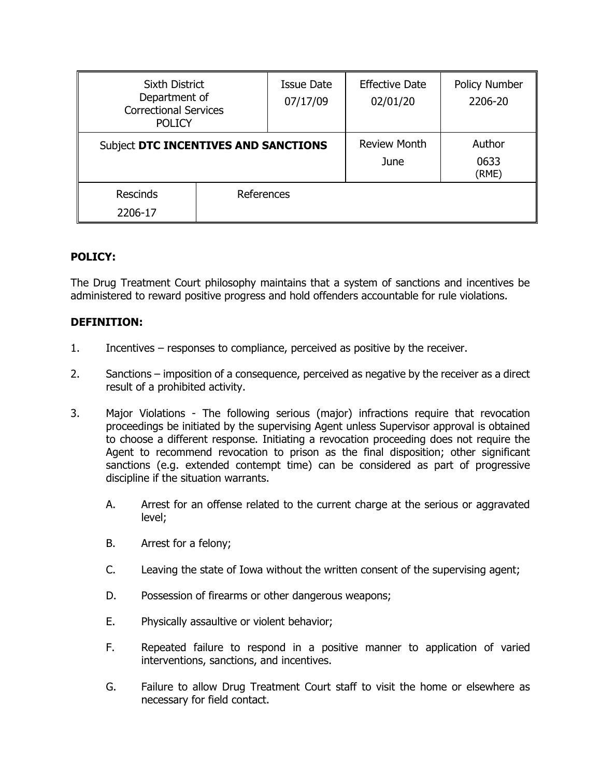| <b>Sixth District</b><br>Department of<br><b>Correctional Services</b><br><b>POLICY</b> |            | <b>Issue Date</b><br>07/17/09 | <b>Effective Date</b><br>02/01/20 | Policy Number<br>2206-20 |
|-----------------------------------------------------------------------------------------|------------|-------------------------------|-----------------------------------|--------------------------|
| Subject DTC INCENTIVES AND SANCTIONS                                                    |            |                               | <b>Review Month</b><br>June       | Author<br>0633<br>(RME)  |
| <b>Rescinds</b><br>2206-17                                                              | References |                               |                                   |                          |

# **POLICY:**

The Drug Treatment Court philosophy maintains that a system of sanctions and incentives be administered to reward positive progress and hold offenders accountable for rule violations.

## **DEFINITION:**

- 1. Incentives responses to compliance, perceived as positive by the receiver.
- 2. Sanctions imposition of a consequence, perceived as negative by the receiver as a direct result of a prohibited activity.
- 3. Major Violations The following serious (major) infractions require that revocation proceedings be initiated by the supervising Agent unless Supervisor approval is obtained to choose a different response. Initiating a revocation proceeding does not require the Agent to recommend revocation to prison as the final disposition; other significant sanctions (e.g. extended contempt time) can be considered as part of progressive discipline if the situation warrants.
	- A. Arrest for an offense related to the current charge at the serious or aggravated level;
	- B. Arrest for a felony;
	- C. Leaving the state of Iowa without the written consent of the supervising agent;
	- D. Possession of firearms or other dangerous weapons;
	- E. Physically assaultive or violent behavior;
	- F. Repeated failure to respond in a positive manner to application of varied interventions, sanctions, and incentives.
	- G. Failure to allow Drug Treatment Court staff to visit the home or elsewhere as necessary for field contact.